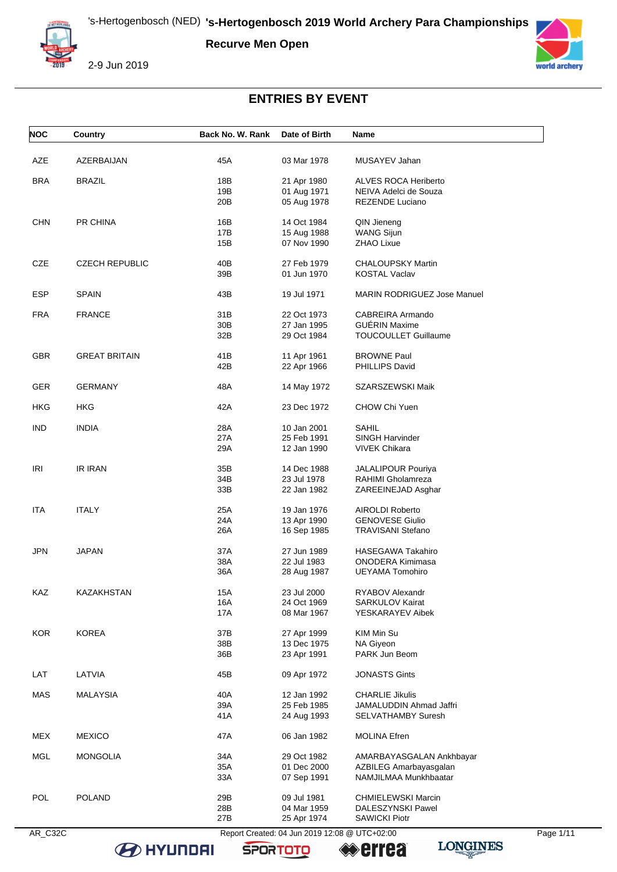**Recurve Men Open**



2-9 Jun 2019



# **ENTRIES BY EVENT**

| <b>NOC</b> | Country               | Back No. W. Rank | Date of Birth              | Name                                      |  |
|------------|-----------------------|------------------|----------------------------|-------------------------------------------|--|
| AZE        | AZERBAIJAN            | 45A              | 03 Mar 1978                | MUSAYEV Jahan                             |  |
| <b>BRA</b> | <b>BRAZIL</b>         | 18B              | 21 Apr 1980                | <b>ALVES ROCA Heriberto</b>               |  |
|            |                       | 19B              | 01 Aug 1971                | NEIVA Adelci de Souza                     |  |
|            |                       | 20B              | 05 Aug 1978                | <b>REZENDE Luciano</b>                    |  |
|            | PR CHINA              | 16B              |                            |                                           |  |
| <b>CHN</b> |                       |                  | 14 Oct 1984                | QIN Jieneng                               |  |
|            |                       | 17B              | 15 Aug 1988                | <b>WANG Sijun</b>                         |  |
|            |                       | 15B              | 07 Nov 1990                | ZHAO Lixue                                |  |
| CZE        | <b>CZECH REPUBLIC</b> | 40B              | 27 Feb 1979                | <b>CHALOUPSKY Martin</b>                  |  |
|            |                       | 39B              | 01 Jun 1970                | <b>KOSTAL Vaclav</b>                      |  |
| ESP        | <b>SPAIN</b>          | 43B              | 19 Jul 1971                | <b>MARIN RODRIGUEZ Jose Manuel</b>        |  |
|            |                       |                  |                            |                                           |  |
| <b>FRA</b> | <b>FRANCE</b>         | 31B              | 22 Oct 1973                | CABREIRA Armando                          |  |
|            |                       | 30 <sub>B</sub>  | 27 Jan 1995                | <b>GUERIN Maxime</b>                      |  |
|            |                       | 32B              | 29 Oct 1984                | <b>TOUCOULLET Guillaume</b>               |  |
| GBR.       | <b>GREAT BRITAIN</b>  | 41B              | 11 Apr 1961                | <b>BROWNE Paul</b>                        |  |
|            |                       | 42B              | 22 Apr 1966                | PHILLIPS David                            |  |
| <b>GER</b> | <b>GERMANY</b>        | 48A              | 14 May 1972                | SZARSZEWSKI Maik                          |  |
|            |                       |                  |                            |                                           |  |
| HKG        | HKG                   | 42A              | 23 Dec 1972                | CHOW Chi Yuen                             |  |
| <b>IND</b> | <b>INDIA</b>          | 28A              | 10 Jan 2001                | <b>SAHIL</b>                              |  |
|            |                       | 27A              | 25 Feb 1991                | <b>SINGH Harvinder</b>                    |  |
|            |                       | 29A              | 12 Jan 1990                | <b>VIVEK Chikara</b>                      |  |
| IRI        | <b>IR IRAN</b>        | 35B              | 14 Dec 1988                | JALALIPOUR Pouriya                        |  |
|            |                       | 34B              | 23 Jul 1978                | RAHIMI Gholamreza                         |  |
|            |                       | 33B              | 22 Jan 1982                | ZAREEINEJAD Asghar                        |  |
|            |                       |                  |                            |                                           |  |
| ITA.       | <b>ITALY</b>          | 25A              | 19 Jan 1976                | <b>AIROLDI Roberto</b>                    |  |
|            |                       | 24A              | 13 Apr 1990                | <b>GENOVESE Giulio</b>                    |  |
|            |                       | 26A              | 16 Sep 1985                | <b>TRAVISANI Stefano</b>                  |  |
| <b>JPN</b> | <b>JAPAN</b>          | 37A              | 27 Jun 1989                | <b>HASEGAWA Takahiro</b>                  |  |
|            |                       | 38A              | 22 Jul 1983                | <b>ONODERA Kimimasa</b>                   |  |
|            |                       | 36A              | 28 Aug 1987                | UEYAMA Tomohiro                           |  |
| KAZ        | KAZAKHSTAN            | 15A              | 23 Jul 2000                | RYABOV Alexandr                           |  |
|            |                       | 16A              | 24 Oct 1969                | <b>SARKULOV Kairat</b>                    |  |
|            |                       | 17A              | 08 Mar 1967                | YESKARAYEV Aibek                          |  |
|            |                       |                  |                            |                                           |  |
| <b>KOR</b> | <b>KOREA</b>          | 37B              | 27 Apr 1999                | KIM Min Su                                |  |
|            |                       | 38B              | 13 Dec 1975                | NA Giyeon                                 |  |
|            |                       | 36B              | 23 Apr 1991                | PARK Jun Beom                             |  |
| LAT        | LATVIA                | 45B              | 09 Apr 1972                | <b>JONASTS Gints</b>                      |  |
|            |                       |                  | 12 Jan 1992                | <b>CHARLIE Jikulis</b>                    |  |
| MAS        | <b>MALAYSIA</b>       | 40A              |                            |                                           |  |
|            |                       | 39A              | 25 Feb 1985                | JAMALUDDIN Ahmad Jaffri                   |  |
|            |                       | 41A              | 24 Aug 1993                | SELVATHAMBY Suresh                        |  |
| MEX        | <b>MEXICO</b>         | 47A              | 06 Jan 1982                | <b>MOLINA Efren</b>                       |  |
| <b>MGL</b> | <b>MONGOLIA</b>       | 34A              | 29 Oct 1982                | AMARBAYASGALAN Ankhbayar                  |  |
|            |                       | 35A              | 01 Dec 2000                | AZBILEG Amarbayasgalan                    |  |
|            |                       | 33A              | 07 Sep 1991                | NAMJILMAA Munkhbaatar                     |  |
| POL        |                       |                  |                            |                                           |  |
|            | <b>POLAND</b>         | 29B              | 09 Jul 1981                | CHMIELEWSKI Marcin                        |  |
|            |                       |                  |                            |                                           |  |
|            |                       | 28B<br>27B       | 04 Mar 1959<br>25 Apr 1974 | DALESZYNSKI Pawel<br><b>SAWICKI Piotr</b> |  |

**BE HYUNDAI** 

**SPORTOTO** 

**errea**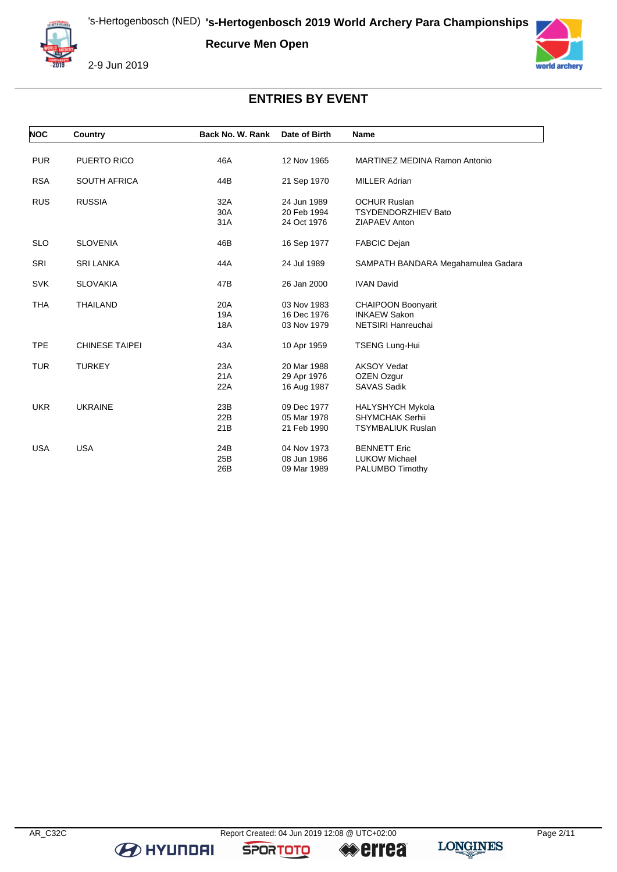**Recurve Men Open**



2-9 Jun 2019



### **ENTRIES BY EVENT**

| <b>NOC</b> | Country               | Back No. W. Rank | Date of Birth | <b>Name</b>                          |
|------------|-----------------------|------------------|---------------|--------------------------------------|
|            |                       |                  |               |                                      |
| <b>PUR</b> | PUERTO RICO           | 46A              | 12 Nov 1965   | <b>MARTINEZ MEDINA Ramon Antonio</b> |
| <b>RSA</b> | <b>SOUTH AFRICA</b>   | 44B              | 21 Sep 1970   | <b>MILLER Adrian</b>                 |
| <b>RUS</b> | <b>RUSSIA</b>         | 32A              | 24 Jun 1989   | <b>OCHUR Ruslan</b>                  |
|            |                       | 30A              | 20 Feb 1994   | <b>TSYDENDORZHIEV Bato</b>           |
|            |                       | 31A              | 24 Oct 1976   | ZIAPAEV Anton                        |
| <b>SLO</b> | <b>SLOVENIA</b>       | 46B              | 16 Sep 1977   | <b>FABCIC Dejan</b>                  |
| <b>SRI</b> | <b>SRI LANKA</b>      | 44A              | 24 Jul 1989   | SAMPATH BANDARA Megahamulea Gadara   |
| <b>SVK</b> | <b>SLOVAKIA</b>       | 47B              | 26 Jan 2000   | <b>IVAN David</b>                    |
| <b>THA</b> | <b>THAILAND</b>       | 20A              | 03 Nov 1983   | <b>CHAIPOON Boonyarit</b>            |
|            |                       | 19A              | 16 Dec 1976   | <b>INKAEW Sakon</b>                  |
|            |                       | 18A              | 03 Nov 1979   | NETSIRI Hanreuchai                   |
| <b>TPE</b> | <b>CHINESE TAIPEI</b> | 43A              | 10 Apr 1959   | <b>TSENG Lung-Hui</b>                |
| <b>TUR</b> | <b>TURKEY</b>         | 23A              | 20 Mar 1988   | <b>AKSOY Vedat</b>                   |
|            |                       | 21A              | 29 Apr 1976   | OZEN Ozgur                           |
|            |                       | 22A              | 16 Aug 1987   | <b>SAVAS Sadik</b>                   |
| <b>UKR</b> | <b>UKRAINE</b>        | 23B              | 09 Dec 1977   | <b>HALYSHYCH Mykola</b>              |
|            |                       | 22B              | 05 Mar 1978   | <b>SHYMCHAK Serhii</b>               |
|            |                       | 21B              | 21 Feb 1990   | <b>TSYMBALIUK Ruslan</b>             |
| <b>USA</b> | <b>USA</b>            | 24B              | 04 Nov 1973   | <b>BENNETT Eric</b>                  |
|            |                       | 25B              | 08 Jun 1986   | <b>LUKOW Michael</b>                 |
|            |                       | 26B              | 09 Mar 1989   | PALUMBO Timothy                      |

**B** HYUNDAI

**SPORTOTO** 

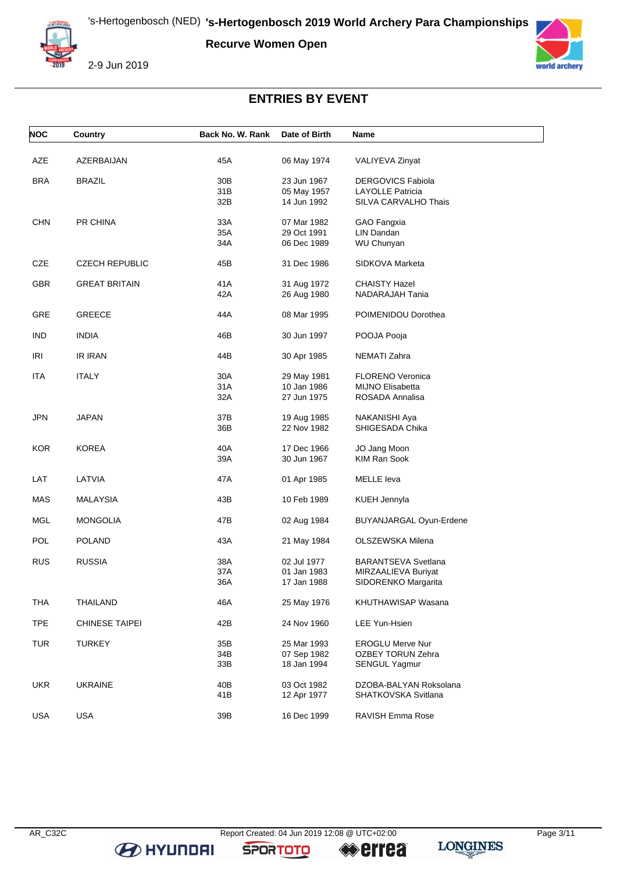**Recurve Women Open**



2-9 Jun 2019



# **ENTRIES BY EVENT**

| <b>NOC</b> | <b>Country</b>        | Back No. W. Rank | Date of Birth | <b>Name</b>                |
|------------|-----------------------|------------------|---------------|----------------------------|
| AZE        | AZERBAIJAN            | 45A              | 06 May 1974   | VALIYEVA Zinyat            |
|            |                       |                  |               |                            |
| <b>BRA</b> | <b>BRAZIL</b>         | 30 <sub>B</sub>  | 23 Jun 1967   | <b>DERGOVICS Fabiola</b>   |
|            |                       | 31B              | 05 May 1957   | <b>LAYOLLE Patricia</b>    |
|            |                       | 32B              | 14 Jun 1992   | SILVA CARVALHO Thais       |
| <b>CHN</b> | PR CHINA              | 33A              | 07 Mar 1982   | GAO Fangxia                |
|            |                       | 35A              | 29 Oct 1991   | LIN Dandan                 |
|            |                       | 34A              | 06 Dec 1989   | WU Chunyan                 |
| CZE        | <b>CZECH REPUBLIC</b> | 45B              | 31 Dec 1986   | SIDKOVA Marketa            |
| <b>GBR</b> | <b>GREAT BRITAIN</b>  | 41A              | 31 Aug 1972   | <b>CHAISTY Hazel</b>       |
|            |                       | 42A              | 26 Aug 1980   | NADARAJAH Tania            |
| GRE        | <b>GREECE</b>         | 44A              | 08 Mar 1995   | POIMENIDOU Dorothea        |
| <b>IND</b> | <b>INDIA</b>          | 46B              | 30 Jun 1997   | POOJA Pooja                |
| IRI        | <b>IR IRAN</b>        | 44B              | 30 Apr 1985   | NEMATI Zahra               |
| <b>ITA</b> | <b>ITALY</b>          | 30A              | 29 May 1981   | <b>FLORENO Veronica</b>    |
|            |                       | 31A              | 10 Jan 1986   | <b>MIJNO Elisabetta</b>    |
|            |                       | 32A              | 27 Jun 1975   | ROSADA Annalisa            |
| JPN        | JAPAN                 | 37B              | 19 Aug 1985   | NAKANISHI Aya              |
|            |                       | 36B              | 22 Nov 1982   | SHIGESADA Chika            |
| <b>KOR</b> | <b>KOREA</b>          | 40A              | 17 Dec 1966   | JO Jang Moon               |
|            |                       | 39A              | 30 Jun 1967   | <b>KIM Ran Sook</b>        |
|            |                       |                  |               |                            |
| LAT        | LATVIA                | 47A              | 01 Apr 1985   | <b>MELLE</b> leva          |
| MAS        | <b>MALAYSIA</b>       | 43B              | 10 Feb 1989   | KUEH Jennyla               |
| <b>MGL</b> | <b>MONGOLIA</b>       | 47B              | 02 Aug 1984   | BUYANJARGAL Oyun-Erdene    |
| <b>POL</b> | POLAND                | 43A              | 21 May 1984   | OLSZEWSKA Milena           |
| <b>RUS</b> | <b>RUSSIA</b>         | 38A              | 02 Jul 1977   | <b>BARANTSEVA Svetlana</b> |
|            |                       | 37A              | 01 Jan 1983   | MIRZAALIEVA Buriyat        |
|            |                       | 36A              | 17 Jan 1988   | SIDORENKO Margarita        |
| <b>THA</b> | <b>THAILAND</b>       | 46A              | 25 May 1976   | KHUTHAWISAP Wasana         |
| <b>TPE</b> | <b>CHINESE TAIPEI</b> | 42B              | 24 Nov 1960   | LEE Yun-Hsien              |
| <b>TUR</b> | <b>TURKEY</b>         | 35B              | 25 Mar 1993   | <b>EROGLU Merve Nur</b>    |
|            |                       | 34B              | 07 Sep 1982   | OZBEY TORUN Zehra          |
|            |                       | 33B              | 18 Jan 1994   | SENGUL Yagmur              |
| <b>UKR</b> | <b>UKRAINE</b>        | 40B              | 03 Oct 1982   | DZOBA-BALYAN Roksolana     |
|            |                       | 41B              | 12 Apr 1977   | SHATKOVSKA Svitlana        |
|            |                       |                  |               |                            |
| <b>USA</b> | USA                   | 39B              | 16 Dec 1999   | RAVISH Emma Rose           |

**B** HYUNDAI

**SPORTOTO**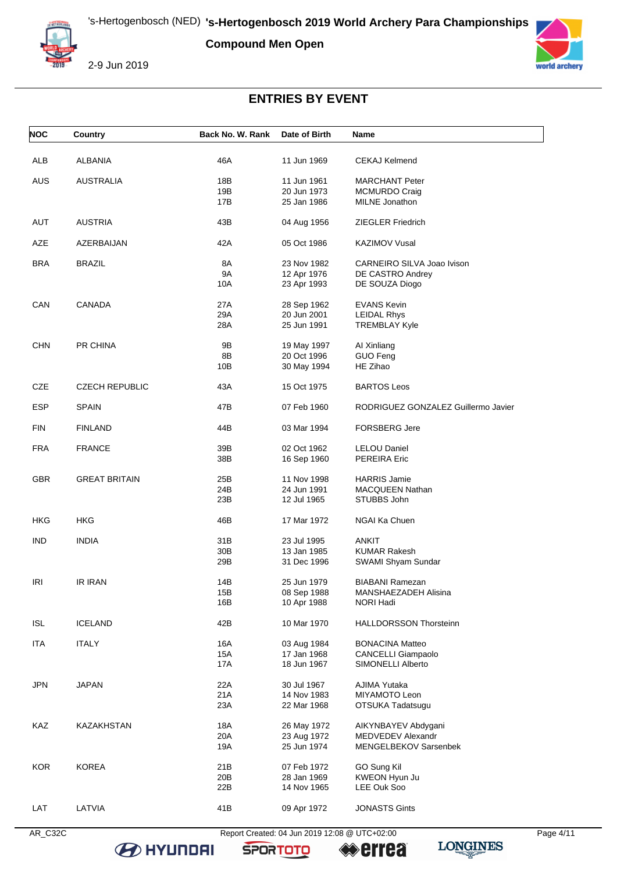**Compound Men Open**



2-9 Jun 2019



# **ENTRIES BY EVENT**

| <b>NOC</b> | Country               | Back No. W. Rank | Date of Birth              | Name                                |
|------------|-----------------------|------------------|----------------------------|-------------------------------------|
| <b>ALB</b> | ALBANIA               | 46A              | 11 Jun 1969                | <b>CEKAJ Kelmend</b>                |
|            |                       |                  |                            |                                     |
| AUS        | <b>AUSTRALIA</b>      | 18B              | 11 Jun 1961                | <b>MARCHANT Peter</b>               |
|            |                       | 19B              | 20 Jun 1973                | <b>MCMURDO Craig</b>                |
|            |                       | 17B              | 25 Jan 1986                | <b>MILNE</b> Jonathon               |
| AUT        | <b>AUSTRIA</b>        | 43B              | 04 Aug 1956                | <b>ZIEGLER Friedrich</b>            |
| AZE        | AZERBAIJAN            | 42A              | 05 Oct 1986                | <b>KAZIMOV Vusal</b>                |
| <b>BRA</b> | <b>BRAZIL</b>         | 8A               | 23 Nov 1982                | CARNEIRO SILVA Joao Ivison          |
|            |                       | <b>9A</b>        | 12 Apr 1976                | DE CASTRO Andrey                    |
|            |                       | 10A              | 23 Apr 1993                | DE SOUZA Diogo                      |
| CAN        | <b>CANADA</b>         | 27A              | 28 Sep 1962                | <b>EVANS Kevin</b>                  |
|            |                       | 29A              | 20 Jun 2001                | <b>LEIDAL Rhys</b>                  |
|            |                       | 28A              | 25 Jun 1991                | <b>TREMBLAY Kyle</b>                |
| <b>CHN</b> | PR CHINA              | 9B               | 19 May 1997                | Al Xinliang                         |
|            |                       | 8B               | 20 Oct 1996                | GUO Feng                            |
|            |                       | 10B              | 30 May 1994                | HE Zihao                            |
| CZE        | <b>CZECH REPUBLIC</b> | 43A              | 15 Oct 1975                | <b>BARTOS Leos</b>                  |
| <b>ESP</b> | <b>SPAIN</b>          | 47B              | 07 Feb 1960                | RODRIGUEZ GONZALEZ Guillermo Javier |
| <b>FIN</b> | <b>FINLAND</b>        | 44B              | 03 Mar 1994                | <b>FORSBERG Jere</b>                |
| <b>FRA</b> | <b>FRANCE</b>         | 39B              | 02 Oct 1962                | <b>LELOU Daniel</b>                 |
|            |                       | 38B              | 16 Sep 1960                | PEREIRA Eric                        |
| <b>GBR</b> |                       |                  |                            | <b>HARRIS Jamie</b>                 |
|            | <b>GREAT BRITAIN</b>  | 25B<br>24B       | 11 Nov 1998<br>24 Jun 1991 | <b>MACQUEEN Nathan</b>              |
|            |                       | 23B              | 12 Jul 1965                | STUBBS John                         |
|            |                       |                  |                            |                                     |
| HKG        | HKG                   | 46B              | 17 Mar 1972                | NGAI Ka Chuen                       |
| <b>IND</b> | <b>INDIA</b>          | 31B              | 23 Jul 1995                | <b>ANKIT</b>                        |
|            |                       | 30B              | 13 Jan 1985                | <b>KUMAR Rakesh</b>                 |
|            |                       | 29B              | 31 Dec 1996                | SWAMI Shyam Sundar                  |
| IRI        | <b>IR IRAN</b>        | 14B              | 25 Jun 1979                | BIABANI Ramezan                     |
|            |                       | 15B              | 08 Sep 1988                | MANSHAEZADEH Alisina                |
|            |                       | 16B              | 10 Apr 1988                | NORI Hadi                           |
| <b>ISL</b> | <b>ICELAND</b>        | 42B              | 10 Mar 1970                | <b>HALLDORSSON Thorsteinn</b>       |
| <b>ITA</b> | <b>ITALY</b>          | 16A              | 03 Aug 1984                | <b>BONACINA Matteo</b>              |
|            |                       | 15A              | 17 Jan 1968                | CANCELLI Giampaolo                  |
|            |                       | 17A              | 18 Jun 1967                | SIMONELLI Alberto                   |
| JPN        | <b>JAPAN</b>          | 22A              | 30 Jul 1967                | AJIMA Yutaka                        |
|            |                       | 21A              | 14 Nov 1983                | MIYAMOTO Leon                       |
|            |                       | 23A              | 22 Mar 1968                | OTSUKA Tadatsugu                    |
| KAZ        | KAZAKHSTAN            | 18A              | 26 May 1972                | AIKYNBAYEV Abdygani                 |
|            |                       | 20A              | 23 Aug 1972                | MEDVEDEV Alexandr                   |
|            |                       | 19A              | 25 Jun 1974                | MENGELBEKOV Sarsenbek               |
| <b>KOR</b> | <b>KOREA</b>          | 21B              | 07 Feb 1972                | GO Sung Kil                         |
|            |                       | 20 <sub>B</sub>  | 28 Jan 1969                | KWEON Hyun Ju                       |
|            |                       | 22B              | 14 Nov 1965                | LEE Ouk Soo                         |
| LAT        | LATVIA                | 41B              | 09 Apr 1972                | <b>JONASTS Gints</b>                |
|            |                       |                  |                            |                                     |

**B** HYUNDAI

AR\_C32C Report Created: 04 Jun 2019 12:08 @ UTC+02:00 Page 4/11

**SPORTOTO** 

**errea**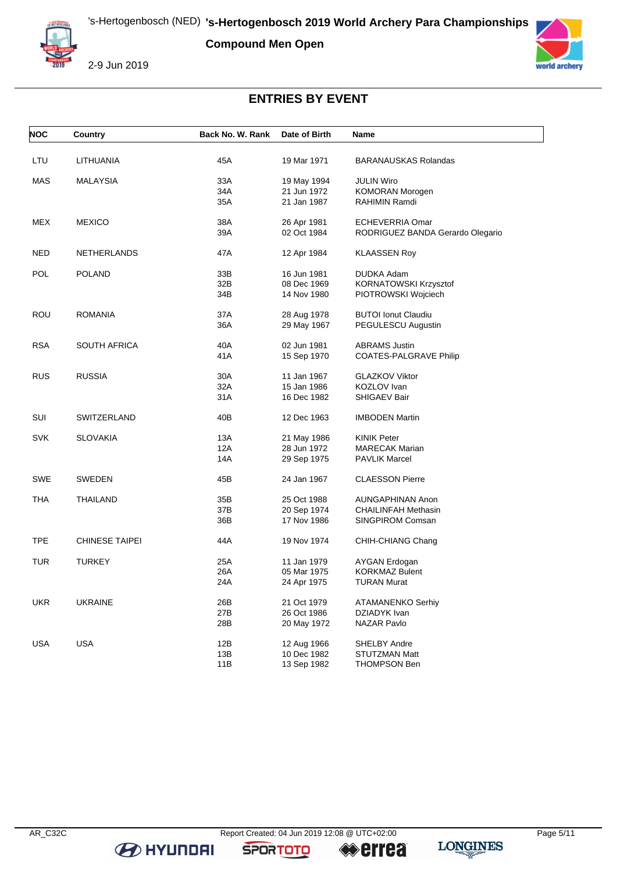**Compound Men Open**



2-9 Jun 2019



### **ENTRIES BY EVENT**

| <b>NOC</b> | Country               | Back No. W. Rank | Date of Birth | Name                             |
|------------|-----------------------|------------------|---------------|----------------------------------|
| LTU        | LITHUANIA             | 45A              | 19 Mar 1971   | <b>BARANAUSKAS Rolandas</b>      |
| MAS        | MALAYSIA              | 33A              | 19 May 1994   | <b>JULIN Wiro</b>                |
|            |                       | 34A              | 21 Jun 1972   | KOMORAN Morogen                  |
|            |                       |                  |               |                                  |
|            |                       | 35A              | 21 Jan 1987   | <b>RAHIMIN Ramdi</b>             |
| <b>MEX</b> | <b>MEXICO</b>         | 38A              | 26 Apr 1981   | <b>ECHEVERRIA Omar</b>           |
|            |                       | 39A              | 02 Oct 1984   | RODRIGUEZ BANDA Gerardo Olegario |
| NED        | <b>NETHERLANDS</b>    | 47 A             | 12 Apr 1984   | <b>KLAASSEN Roy</b>              |
| <b>POL</b> | <b>POLAND</b>         | 33B              | 16 Jun 1981   | DUDKA Adam                       |
|            |                       | 32B              | 08 Dec 1969   | KORNATOWSKI Krzysztof            |
|            |                       | 34B              | 14 Nov 1980   | PIOTROWSKI Wojciech              |
|            |                       |                  |               |                                  |
| ROU        | <b>ROMANIA</b>        | 37A              | 28 Aug 1978   | <b>BUTOI Ionut Claudiu</b>       |
|            |                       | 36A              | 29 May 1967   | PEGULESCU Augustin               |
| <b>RSA</b> | <b>SOUTH AFRICA</b>   | 40A              | 02 Jun 1981   | <b>ABRAMS</b> Justin             |
|            |                       | 41A              | 15 Sep 1970   | <b>COATES-PALGRAVE Philip</b>    |
| <b>RUS</b> | <b>RUSSIA</b>         | 30A              | 11 Jan 1967   | <b>GLAZKOV Viktor</b>            |
|            |                       | 32A              | 15 Jan 1986   | KOZLOV Ivan                      |
|            |                       | 31A              | 16 Dec 1982   | <b>SHIGAEV Bair</b>              |
|            |                       |                  |               |                                  |
| SUI        | SWITZERLAND           | 40B              | 12 Dec 1963   | <b>IMBODEN Martin</b>            |
| <b>SVK</b> | <b>SLOVAKIA</b>       | 13A              | 21 May 1986   | <b>KINIK Peter</b>               |
|            |                       | 12A              | 28 Jun 1972   | <b>MARECAK Marian</b>            |
|            |                       | 14A              | 29 Sep 1975   | <b>PAVLIK Marcel</b>             |
| SWE        | <b>SWEDEN</b>         | 45B              | 24 Jan 1967   | <b>CLAESSON Pierre</b>           |
| <b>THA</b> | <b>THAILAND</b>       | 35B              | 25 Oct 1988   | AUNGAPHINAN Anon                 |
|            |                       | 37B              | 20 Sep 1974   | <b>CHAILINFAH Methasin</b>       |
|            |                       | 36B              | 17 Nov 1986   | SINGPIROM Comsan                 |
| <b>TPE</b> | <b>CHINESE TAIPEI</b> | 44A              | 19 Nov 1974   | CHIH-CHIANG Chang                |
|            |                       |                  |               |                                  |
| TUR        | <b>TURKEY</b>         | 25A              | 11 Jan 1979   | AYGAN Erdogan                    |
|            |                       | 26A              | 05 Mar 1975   | <b>KORKMAZ Bulent</b>            |
|            |                       | 24A              | 24 Apr 1975   | <b>TURAN Murat</b>               |
| UKR        | <b>UKRAINE</b>        | 26B              | 21 Oct 1979   | ATAMANENKO Serhiy                |
|            |                       | 27B              | 26 Oct 1986   | DZIADYK Ivan                     |
|            |                       | 28B              | 20 May 1972   | NAZAR Pavlo                      |
|            |                       |                  |               |                                  |
| <b>USA</b> | <b>USA</b>            | 12B              | 12 Aug 1966   | <b>SHELBY Andre</b>              |
|            |                       | 13B              | 10 Dec 1982   | <b>STUTZMAN Matt</b>             |
|            |                       | 11B              | 13 Sep 1982   | <b>THOMPSON Ben</b>              |

**B** HYUNDAI

**SPORTOTO** 

**errea**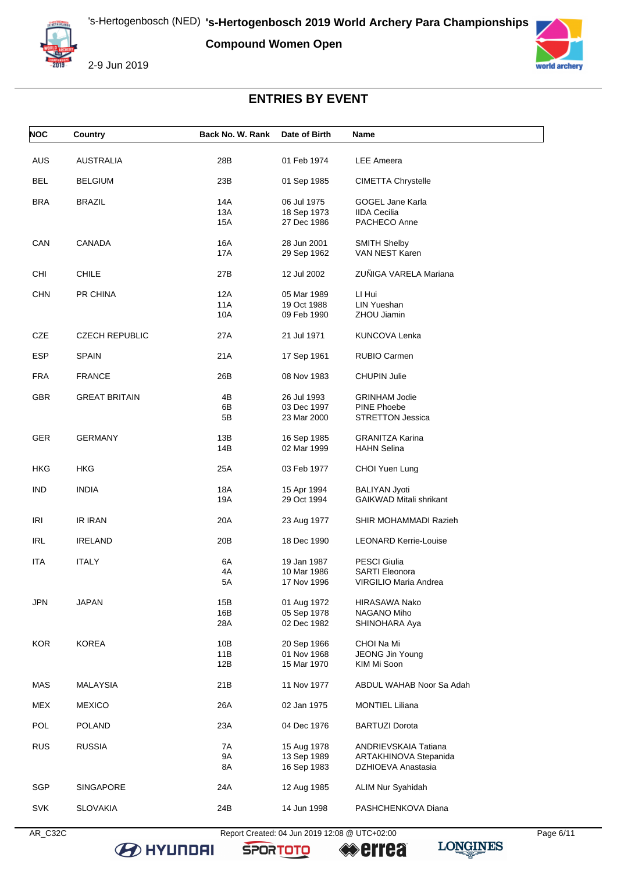**Compound Women Open**



2-9 Jun 2019



# **ENTRIES BY EVENT**

| <b>NOC</b> | Country               | Back No. W. Rank | Date of Birth              | Name                                        |
|------------|-----------------------|------------------|----------------------------|---------------------------------------------|
| AUS        | <b>AUSTRALIA</b>      | 28B              | 01 Feb 1974                | <b>LEE Ameera</b>                           |
| <b>BEL</b> | <b>BELGIUM</b>        | 23B              | 01 Sep 1985                | <b>CIMETTA Chrystelle</b>                   |
| <b>BRA</b> | <b>BRAZIL</b>         | 14A              | 06 Jul 1975                | <b>GOGEL Jane Karla</b>                     |
|            |                       | 13A              | 18 Sep 1973                | <b>IIDA Cecilia</b>                         |
|            |                       | 15A              | 27 Dec 1986                | PACHECO Anne                                |
|            |                       |                  |                            |                                             |
| CAN        | CANADA                | 16A              | 28 Jun 2001                | <b>SMITH Shelby</b><br>VAN NEST Karen       |
|            |                       | 17A              | 29 Sep 1962                |                                             |
| CHI        | <b>CHILE</b>          | 27B              | 12 Jul 2002                | ZUÑIGA VARELA Mariana                       |
| <b>CHN</b> | PR CHINA              | 12A              | 05 Mar 1989                | LI Hui                                      |
|            |                       | 11A              | 19 Oct 1988                | LIN Yueshan                                 |
|            |                       | 10A              | 09 Feb 1990                | ZHOU Jiamin                                 |
|            | <b>CZECH REPUBLIC</b> |                  |                            |                                             |
| CZE        |                       | 27A              | 21 Jul 1971                | KUNCOVA Lenka                               |
| <b>ESP</b> | <b>SPAIN</b>          | 21A              | 17 Sep 1961                | RUBIO Carmen                                |
| <b>FRA</b> | <b>FRANCE</b>         | 26B              | 08 Nov 1983                | <b>CHUPIN Julie</b>                         |
| GBR        | <b>GREAT BRITAIN</b>  | 4B               | 26 Jul 1993                | <b>GRINHAM Jodie</b>                        |
|            |                       | 6В               | 03 Dec 1997                | PINE Phoebe                                 |
|            |                       | 5B               | 23 Mar 2000                | <b>STRETTON Jessica</b>                     |
|            |                       |                  |                            |                                             |
| <b>GER</b> | <b>GERMANY</b>        | 13B              | 16 Sep 1985                | <b>GRANITZA Karina</b>                      |
|            |                       | 14B              | 02 Mar 1999                | <b>HAHN Selina</b>                          |
| HKG        | HKG                   | 25A              | 03 Feb 1977                | CHOI Yuen Lung                              |
| <b>IND</b> | <b>INDIA</b>          | 18A              | 15 Apr 1994                | <b>BALIYAN Jyoti</b>                        |
|            |                       | 19A              | 29 Oct 1994                | <b>GAIKWAD Mitali shrikant</b>              |
|            |                       |                  |                            |                                             |
| IRI        | IR IRAN               | 20A              | 23 Aug 1977                | SHIR MOHAMMADI Razieh                       |
| <b>IRL</b> | <b>IRELAND</b>        | 20B              | 18 Dec 1990                | <b>LEONARD Kerrie-Louise</b>                |
|            |                       |                  |                            |                                             |
| ITA        | <b>ITALY</b>          | 6A               | 19 Jan 1987                | <b>PESCI Giulia</b>                         |
|            |                       | 4A               | 10 Mar 1986                | <b>SARTI Eleonora</b>                       |
|            |                       | 5A               | 17 Nov 1996                | VIRGILIO Maria Andrea                       |
| <b>JPN</b> | <b>JAPAN</b>          | 15B              | 01 Aug 1972                | HIRASAWA Nako                               |
|            |                       | 16B              | 05 Sep 1978                | NAGANO Miho                                 |
|            |                       | 28A              | 02 Dec 1982                | SHINOHARA Aya                               |
|            |                       |                  |                            |                                             |
| <b>KOR</b> | <b>KOREA</b>          | 10B              | 20 Sep 1966<br>01 Nov 1968 | CHOI Na Mi                                  |
|            |                       | 11B<br>12B       | 15 Mar 1970                | JEONG Jin Young<br>KIM Mi Soon              |
|            |                       |                  |                            |                                             |
| MAS        | <b>MALAYSIA</b>       | 21B              | 11 Nov 1977                | ABDUL WAHAB Noor Sa Adah                    |
| <b>MEX</b> | <b>MEXICO</b>         | 26A              | 02 Jan 1975                | <b>MONTIEL Liliana</b>                      |
| POL        | <b>POLAND</b>         | 23A              | 04 Dec 1976                | <b>BARTUZI Dorota</b>                       |
|            |                       |                  |                            |                                             |
| <b>RUS</b> | <b>RUSSIA</b>         | 7A<br><b>9A</b>  | 15 Aug 1978                | ANDRIEVSKAIA Tatiana                        |
|            |                       | 8A               | 13 Sep 1989<br>16 Sep 1983 | ARTAKHINOVA Stepanida<br>DZHIOEVA Anastasia |
|            |                       |                  |                            |                                             |
| <b>SGP</b> | <b>SINGAPORE</b>      | 24A              | 12 Aug 1985                | <b>ALIM Nur Syahidah</b>                    |
|            |                       |                  |                            |                                             |
| <b>SVK</b> | <b>SLOVAKIA</b>       | 24B              | 14 Jun 1998                | PASHCHENKOVA Diana                          |
|            |                       |                  |                            |                                             |

**B** HYUNDAI

AR\_C32C Report Created: 04 Jun 2019 12:08 @ UTC+02:00 Page 6/11

**SPORTOTO** 

**errea**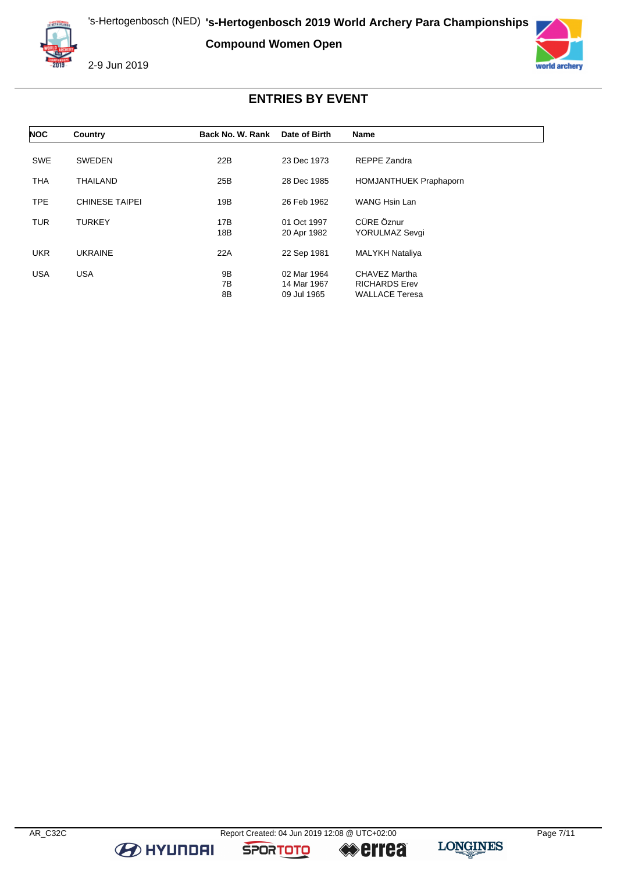's-Hertogenbosch (NED) **'s-Hertogenbosch 2019 World Archery Para Championships**

**Compound Women Open**



2-9 Jun 2019



### **ENTRIES BY EVENT**

| <b>NOC</b> | Country               | Back No. W. Rank | Date of Birth | <b>Name</b>                   |
|------------|-----------------------|------------------|---------------|-------------------------------|
|            |                       |                  |               |                               |
| <b>SWE</b> | <b>SWEDEN</b>         | 22B              | 23 Dec 1973   | REPPE Zandra                  |
| <b>THA</b> | THAILAND              | 25B              | 28 Dec 1985   | <b>HOMJANTHUEK Praphaporn</b> |
| <b>TPE</b> | <b>CHINESE TAIPEI</b> | 19B              | 26 Feb 1962   | <b>WANG Hsin Lan</b>          |
| <b>TUR</b> | <b>TURKEY</b>         | 17B              | 01 Oct 1997   | CÜRE Öznur                    |
|            |                       | 18B              | 20 Apr 1982   | <b>YORULMAZ Sevgi</b>         |
| <b>UKR</b> | <b>UKRAINE</b>        | 22A              | 22 Sep 1981   | <b>MALYKH Nataliya</b>        |
| <b>USA</b> | <b>USA</b>            | 9B               | 02 Mar 1964   | CHAVEZ Martha                 |
|            |                       | 7В               | 14 Mar 1967   | <b>RICHARDS Erev</b>          |
|            |                       | 8B               | 09 Jul 1965   | <b>WALLACE Teresa</b>         |

**B** HYUNDAI

**SPORTOTO** 

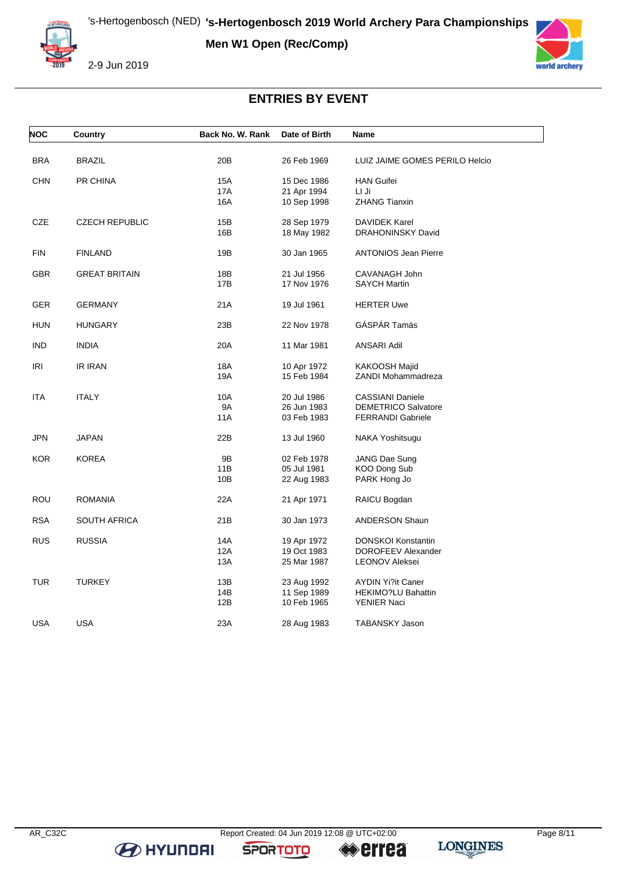**Men W1 Open (Rec/Comp)**



2-9 Jun 2019



# **ENTRIES BY EVENT**

| <b>NOC</b> | Country               | Back No. W. Rank | Date of Birth | <b>Name</b>                    |
|------------|-----------------------|------------------|---------------|--------------------------------|
| <b>BRA</b> | BRAZIL                | 20B              | 26 Feb 1969   | LUIZ JAIME GOMES PERILO Helcio |
| <b>CHN</b> | PR CHINA              | 15A              | 15 Dec 1986   | <b>HAN Guifei</b>              |
|            |                       | 17A              | 21 Apr 1994   | LI Ji                          |
|            |                       | 16A              | 10 Sep 1998   | <b>ZHANG Tianxin</b>           |
| <b>CZE</b> | <b>CZECH REPUBLIC</b> | 15B              | 28 Sep 1979   | <b>DAVIDEK Karel</b>           |
|            |                       | 16B              | 18 May 1982   | DRAHONINSKY David              |
| <b>FIN</b> | <b>FINLAND</b>        | 19B              | 30 Jan 1965   | <b>ANTONIOS Jean Pierre</b>    |
| <b>GBR</b> | <b>GREAT BRITAIN</b>  | 18B              | 21 Jul 1956   | CAVANAGH John                  |
|            |                       | 17B              | 17 Nov 1976   | <b>SAYCH Martin</b>            |
| <b>GER</b> | <b>GERMANY</b>        | 21A              | 19 Jul 1961   | <b>HERTER Uwe</b>              |
| HUN        | <b>HUNGARY</b>        | 23B              | 22 Nov 1978   | GÁSPÁR Tamás                   |
| <b>IND</b> | <b>INDIA</b>          | 20A              | 11 Mar 1981   | ANSARI Adil                    |
| IRI        | IR IRAN               | 18A              | 10 Apr 1972   | KAKOOSH Majid                  |
|            |                       | 19A              | 15 Feb 1984   | ZANDI Mohammadreza             |
| <b>ITA</b> | <b>ITALY</b>          | 10A              | 20 Jul 1986   | <b>CASSIANI Daniele</b>        |
|            |                       | <b>9A</b>        | 26 Jun 1983   | <b>DEMETRICO Salvatore</b>     |
|            |                       | 11A              | 03 Feb 1983   | <b>FERRANDI Gabriele</b>       |
| JPN        | JAPAN                 | 22B              | 13 Jul 1960   | NAKA Yoshitsugu                |
| <b>KOR</b> | <b>KOREA</b>          | 9B               | 02 Feb 1978   | JANG Dae Sung                  |
|            |                       | 11B              | 05 Jul 1981   | KOO Dong Sub                   |
|            |                       | 10B              | 22 Aug 1983   | PARK Hong Jo                   |
| <b>ROU</b> | <b>ROMANIA</b>        | 22A              | 21 Apr 1971   | RAICU Bogdan                   |
| <b>RSA</b> | <b>SOUTH AFRICA</b>   | 21B              | 30 Jan 1973   | ANDERSON Shaun                 |
| <b>RUS</b> | <b>RUSSIA</b>         | 14A              | 19 Apr 1972   | <b>DONSKOI Konstantin</b>      |
|            |                       | 12A              | 19 Oct 1983   | DOROFEEV Alexander             |
|            |                       | 13A              | 25 Mar 1987   | <b>LEONOV Aleksei</b>          |
| <b>TUR</b> | <b>TURKEY</b>         | 13B              | 23 Aug 1992   | <b>AYDIN Yi?it Caner</b>       |
|            |                       | 14B              | 11 Sep 1989   | <b>HEKIMO?LU Bahattin</b>      |
|            |                       | 12B              | 10 Feb 1965   | <b>YENIER Naci</b>             |
| <b>USA</b> | <b>USA</b>            | 23A              | 28 Aug 1983   | TABANSKY Jason                 |

**B** HYUNDAI

**SPORTOTO**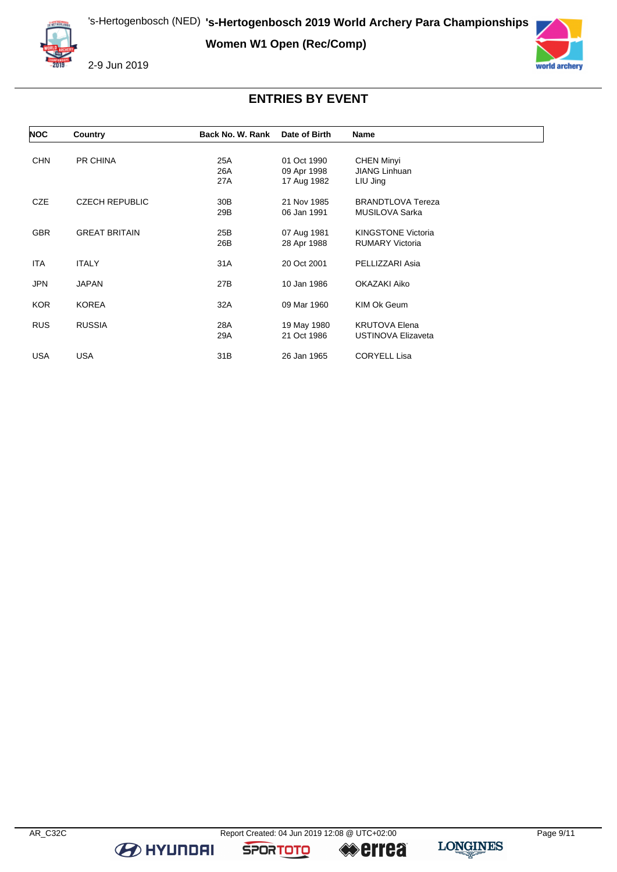**Women W1 Open (Rec/Comp)**





### **ENTRIES BY EVENT**

| <b>NOC</b> | Country               | Back No. W. Rank | Date of Birth              | Name                                      |  |
|------------|-----------------------|------------------|----------------------------|-------------------------------------------|--|
|            |                       |                  |                            |                                           |  |
| <b>CHN</b> | PR CHINA              | 25A<br>26A       | 01 Oct 1990<br>09 Apr 1998 | <b>CHEN Minyi</b><br><b>JIANG Linhuan</b> |  |
|            |                       | 27A              | 17 Aug 1982                | LIU Jing                                  |  |
|            |                       |                  |                            |                                           |  |
| <b>CZE</b> | <b>CZECH REPUBLIC</b> | 30 <sub>B</sub>  | 21 Nov 1985                | <b>BRANDTLOVA Tereza</b>                  |  |
|            |                       | 29B              | 06 Jan 1991                | MUSILOVA Sarka                            |  |
|            |                       |                  |                            |                                           |  |
| <b>GBR</b> | <b>GREAT BRITAIN</b>  | 25B              | 07 Aug 1981                | <b>KINGSTONE Victoria</b>                 |  |
|            |                       | 26B              | 28 Apr 1988                | <b>RUMARY Victoria</b>                    |  |
|            |                       |                  |                            |                                           |  |
| ITA.       | <b>ITALY</b>          | 31A              | 20 Oct 2001                | PELLIZZARI Asia                           |  |
| <b>JPN</b> | <b>JAPAN</b>          | 27B              | 10 Jan 1986                | OKAZAKI Aiko                              |  |
|            |                       |                  |                            |                                           |  |
| KOR.       | <b>KOREA</b>          | 32A              | 09 Mar 1960                | KIM Ok Geum                               |  |
|            |                       |                  |                            |                                           |  |
| <b>RUS</b> | <b>RUSSIA</b>         | 28A              | 19 May 1980                | <b>KRUTOVA Elena</b>                      |  |
|            |                       | 29A              | 21 Oct 1986                | <b>USTINOVA Elizaveta</b>                 |  |
|            |                       |                  |                            |                                           |  |
| USA        | <b>USA</b>            | 31B              | 26 Jan 1965                | <b>CORYELL Lisa</b>                       |  |

**B** HYUNDAI

**SPORTOTO**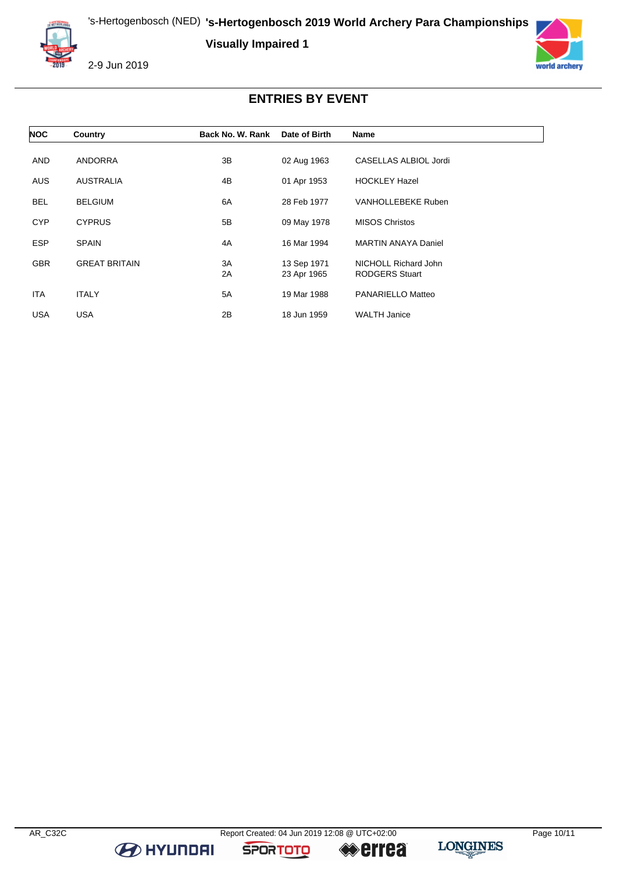's-Hertogenbosch (NED) **'s-Hertogenbosch 2019 World Archery Para Championships**

**Visually Impaired 1**



2-9 Jun 2019



# **ENTRIES BY EVENT**

| <b>NOC</b> | Country              | Back No. W. Rank | Date of Birth              | <b>Name</b>                                   |
|------------|----------------------|------------------|----------------------------|-----------------------------------------------|
| <b>AND</b> | <b>ANDORRA</b>       | 3B               | 02 Aug 1963                | CASELLAS ALBIOL Jordi                         |
| <b>AUS</b> | <b>AUSTRALIA</b>     | 4B               | 01 Apr 1953                | <b>HOCKLEY Hazel</b>                          |
| <b>BEL</b> | <b>BELGIUM</b>       | 6A               | 28 Feb 1977                | <b>VANHOLLEBEKE Ruben</b>                     |
| <b>CYP</b> | <b>CYPRUS</b>        | 5B               | 09 May 1978                | <b>MISOS Christos</b>                         |
| <b>ESP</b> | <b>SPAIN</b>         | 4A               | 16 Mar 1994                | <b>MARTIN ANAYA Daniel</b>                    |
| <b>GBR</b> | <b>GREAT BRITAIN</b> | ЗA<br>2A         | 13 Sep 1971<br>23 Apr 1965 | NICHOLL Richard John<br><b>RODGERS Stuart</b> |
| <b>ITA</b> | <b>ITALY</b>         | 5A               | 19 Mar 1988                | PANARIELLO Matteo                             |
| <b>USA</b> | <b>USA</b>           | 2B               | 18 Jun 1959                | <b>WALTH Janice</b>                           |

**B** HYUNDAI

**SPORTOTO**